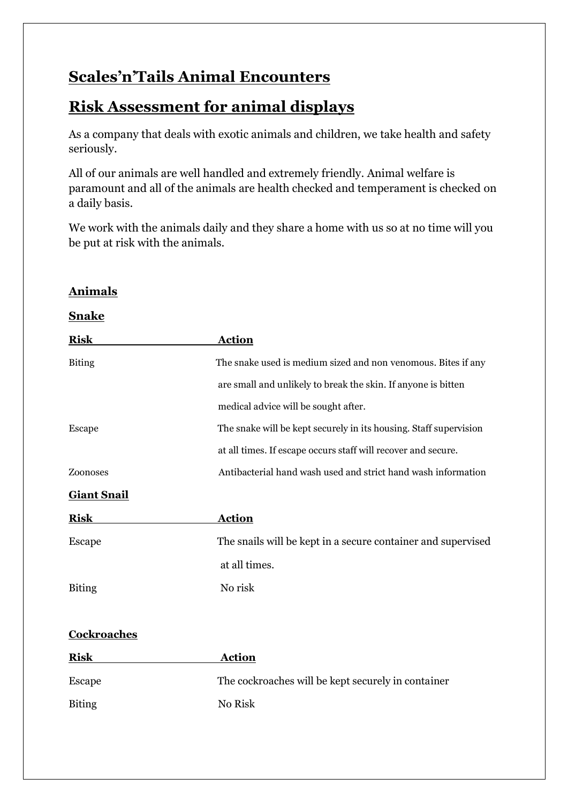# **Scales'n'Tails Animal Encounters**

**Animals**

# **Risk Assessment for animal displays**

As a company that deals with exotic animals and children, we take health and safety seriously.

All of our animals are well handled and extremely friendly. Animal welfare is paramount and all of the animals are health checked and temperament is checked on a daily basis.

We work with the animals daily and they share a home with us so at no time will you be put at risk with the animals.

| <b>Snake</b>       |                                                                   |
|--------------------|-------------------------------------------------------------------|
| <b>Risk</b>        | <b>Action</b>                                                     |
| <b>Biting</b>      | The snake used is medium sized and non venomous. Bites if any     |
|                    | are small and unlikely to break the skin. If anyone is bitten     |
|                    | medical advice will be sought after.                              |
| Escape             | The snake will be kept securely in its housing. Staff supervision |
|                    | at all times. If escape occurs staff will recover and secure.     |
| Zoonoses           | Antibacterial hand wash used and strict hand wash information     |
| <b>Giant Snail</b> |                                                                   |
| <b>Risk</b>        | <b>Action</b>                                                     |
| <b>Escape</b>      | The snails will be kept in a secure container and supervised      |
|                    | at all times.                                                     |
| <b>Biting</b>      | No risk                                                           |
|                    |                                                                   |
| Cockroaches        |                                                                   |
| <b>Risk</b>        | <b>Action</b>                                                     |
| <b>Escape</b>      | The cockroaches will be kept securely in container                |
| <b>Biting</b>      | No Risk                                                           |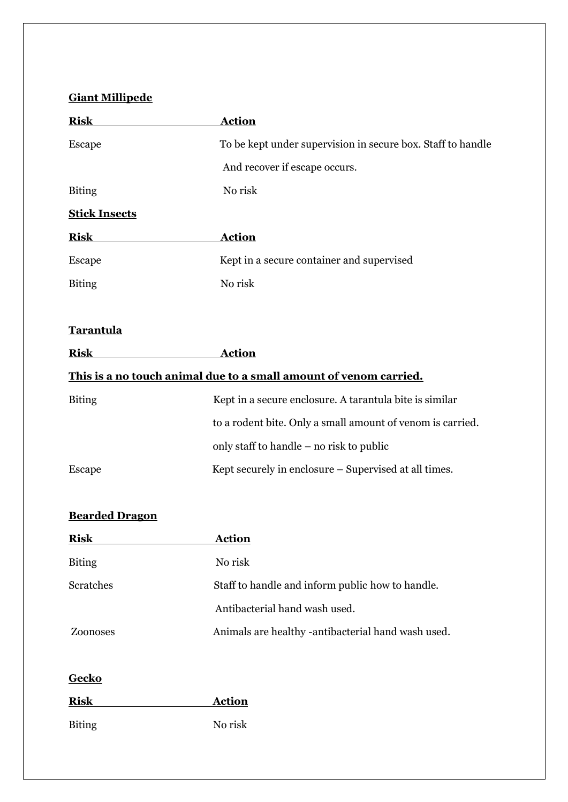# **Giant Millipede**

| <b>Risk</b>           | <b>Action</b>                                                     |
|-----------------------|-------------------------------------------------------------------|
| Escape                | To be kept under supervision in secure box. Staff to handle       |
|                       | And recover if escape occurs.                                     |
| <b>Biting</b>         | No risk                                                           |
| <b>Stick Insects</b>  |                                                                   |
| <b>Risk</b>           | <b>Action</b>                                                     |
| Escape                | Kept in a secure container and supervised                         |
| <b>Biting</b>         | No risk                                                           |
| <b>Tarantula</b>      |                                                                   |
| <b>Risk</b>           | <b>Action</b>                                                     |
|                       | This is a no touch animal due to a small amount of venom carried. |
| <b>Biting</b>         | Kept in a secure enclosure. A tarantula bite is similar           |
|                       | to a rodent bite. Only a small amount of venom is carried.        |
|                       | only staff to handle – no risk to public                          |
| <b>Escape</b>         | Kept securely in enclosure - Supervised at all times.             |
| <b>Bearded Dragon</b> |                                                                   |
| <b>Risk</b>           | <u>Action</u>                                                     |
| <b>Biting</b>         | No risk                                                           |
| Scratches             | Staff to handle and inform public how to handle.                  |
|                       | Antibacterial hand wash used.                                     |
| Zoonoses              | Animals are healthy -antibacterial hand wash used.                |
| <b>Gecko</b>          |                                                                   |
| <b>Risk</b>           | <b>Action</b>                                                     |
| <b>Biting</b>         | No risk                                                           |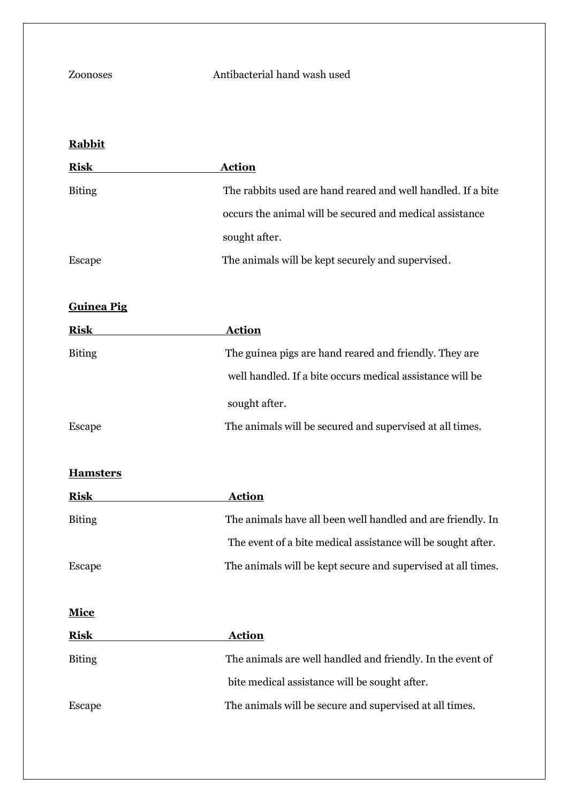## Zoonoses Antibacterial hand wash used

## **Rabbit**

| <b>Risk</b>   | <b>Action</b>                                                |
|---------------|--------------------------------------------------------------|
| <b>Biting</b> | The rabbits used are hand reared and well handled. If a bite |
|               | occurs the animal will be secured and medical assistance     |
|               | sought after.                                                |
| Escape        | The animals will be kept securely and supervised.            |

### **Guinea Pig**

| <b>Risk</b>   | <b>Action</b>                                             |
|---------------|-----------------------------------------------------------|
| <b>Biting</b> | The guinea pigs are hand reared and friendly. They are    |
|               | well handled. If a bite occurs medical assistance will be |
|               | sought after.                                             |
| Escape        | The animals will be secured and supervised at all times.  |

#### **Hamsters**

| <b>Risk</b>   | <b>Action</b>                                                |
|---------------|--------------------------------------------------------------|
| <b>Biting</b> | The animals have all been well handled and are friendly. In  |
|               | The event of a bite medical assistance will be sought after. |
| <b>Escape</b> | The animals will be kept secure and supervised at all times. |
|               |                                                              |
| <b>Mice</b>   |                                                              |
| <b>Risk</b>   | <b>Action</b>                                                |
| <b>Biting</b> | The animals are well handled and friendly. In the event of   |
|               | bite medical assistance will be sought after.                |
| <b>Escape</b> | The animals will be secure and supervised at all times.      |